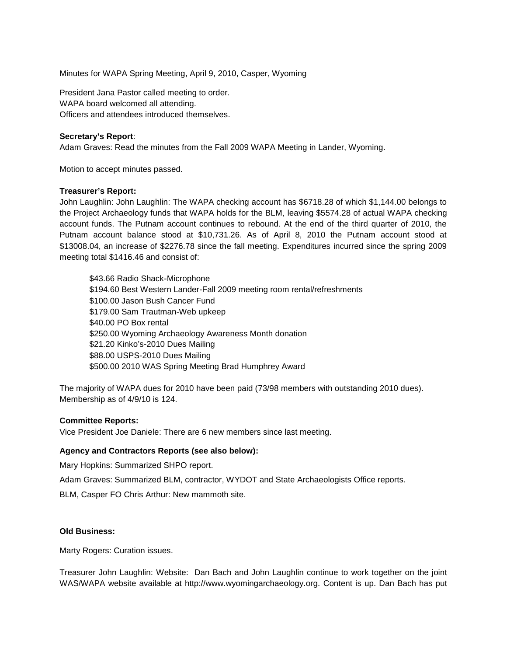Minutes for WAPA Spring Meeting, April 9, 2010, Casper, Wyoming

President Jana Pastor called meeting to order. WAPA board welcomed all attending. Officers and attendees introduced themselves.

# **Secretary's Report**:

Adam Graves: Read the minutes from the Fall 2009 WAPA Meeting in Lander, Wyoming.

Motion to accept minutes passed.

### **Treasurer's Report:**

John Laughlin: John Laughlin: The WAPA checking account has \$6718.28 of which \$1,144.00 belongs to the Project Archaeology funds that WAPA holds for the BLM, leaving \$5574.28 of actual WAPA checking account funds. The Putnam account continues to rebound. At the end of the third quarter of 2010, the Putnam account balance stood at \$10,731.26. As of April 8, 2010 the Putnam account stood at \$13008.04, an increase of \$2276.78 since the fall meeting. Expenditures incurred since the spring 2009 meeting total \$1416.46 and consist of:

\$43.66 Radio Shack-Microphone \$194.60 Best Western Lander-Fall 2009 meeting room rental/refreshments \$100.00 Jason Bush Cancer Fund \$179.00 Sam Trautman-Web upkeep \$40.00 PO Box rental \$250.00 Wyoming Archaeology Awareness Month donation \$21.20 Kinko's-2010 Dues Mailing \$88.00 USPS-2010 Dues Mailing \$500.00 2010 WAS Spring Meeting Brad Humphrey Award

The majority of WAPA dues for 2010 have been paid (73/98 members with outstanding 2010 dues). Membership as of 4/9/10 is 124.

### **Committee Reports:**

Vice President Joe Daniele: There are 6 new members since last meeting.

### **Agency and Contractors Reports (see also below):**

Mary Hopkins: Summarized SHPO report.

Adam Graves: Summarized BLM, contractor, WYDOT and State Archaeologists Office reports.

BLM, Casper FO Chris Arthur: New mammoth site.

### **Old Business:**

Marty Rogers: Curation issues.

Treasurer John Laughlin: Website: Dan Bach and John Laughlin continue to work together on the joint WAS/WAPA website available at http://www.wyomingarchaeology.org. Content is up. Dan Bach has put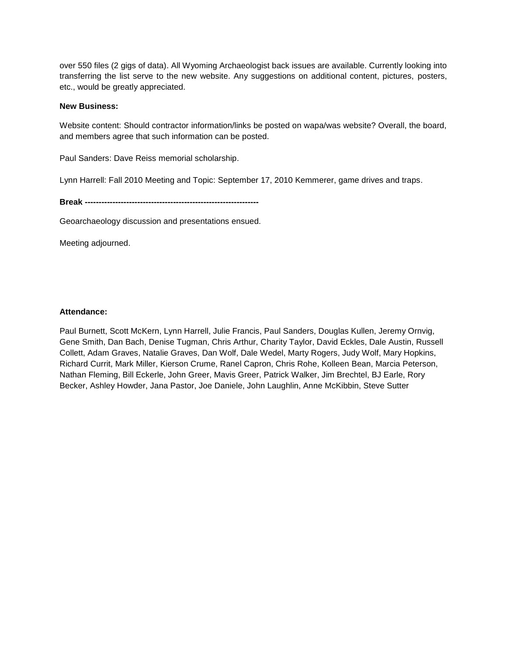over 550 files (2 gigs of data). All Wyoming Archaeologist back issues are available. Currently looking into transferring the list serve to the new website. Any suggestions on additional content, pictures, posters, etc., would be greatly appreciated.

New Business:

Website content: Should contractor information/links be posted on wapa/was website? Overall, the board, and members agree that such information can be posted.

Paul Sanders: Dave Reiss memorial scholarship.

Lynn Harrell: Fall 2010 Meeting and Topic: September 17, 2010 Kemmerer, game drives and traps.

Break ---------------------------------------------------------------

Geoarchaeology discussion and presentations ensued.

Meeting adjourned.

Attendance :

Paul Burnett, Scott McKern, Lynn Harrell, Julie Francis, Paul Sanders, Douglas Kullen, Jeremy Ornvig, Gene Smith, Dan Bach, Denise Tugman, Chris Arthur, Charity Taylor, David Eckles, Dale Austin, Russell Collett, Adam Graves, Natalie Graves, Dan Wolf, Dale Wedel, Marty Rogers, Judy Wolf, Mary Hopkins, Richard Currit, Mark Miller, Kierson Crume, Ranel Capron, Chris Rohe, Kolleen Bean, Marcia Peterson, Nathan Fleming, Bill Eckerle, John Greer, Mavis Greer, Patrick Walker, Jim Brechtel, BJ Earle, Rory Becker, Ashley Howder, Jana Pastor, Joe Daniele, John Laughlin, Anne McKibbin, Steve Sutter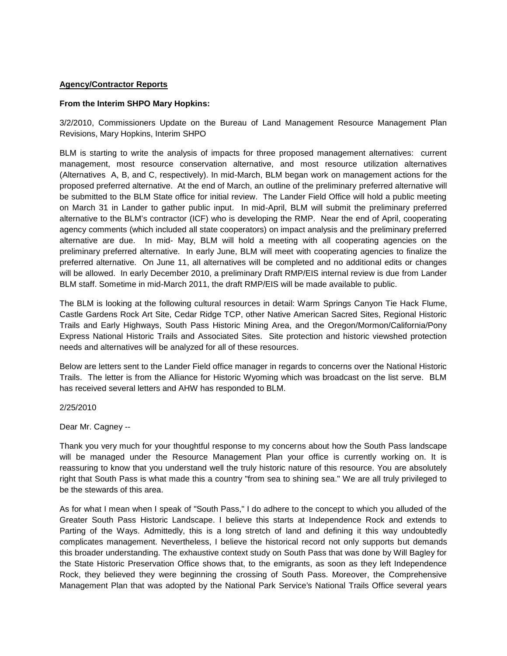# **Agency/Contractor Reports**

### **From the Interim SHPO Mary Hopkins:**

3/2/2010, Commissioners Update on the Bureau of Land Management Resource Management Plan Revisions, Mary Hopkins, Interim SHPO

BLM is starting to write the analysis of impacts for three proposed management alternatives: current management, most resource conservation alternative, and most resource utilization alternatives (Alternatives A, B, and C, respectively). In mid-March, BLM began work on management actions for the proposed preferred alternative. At the end of March, an outline of the preliminary preferred alternative will be submitted to the BLM State office for initial review. The Lander Field Office will hold a public meeting on March 31 in Lander to gather public input. In mid-April, BLM will submit the preliminary preferred alternative to the BLM's contractor (ICF) who is developing the RMP. Near the end of April, cooperating agency comments (which included all state cooperators) on impact analysis and the preliminary preferred alternative are due. In mid- May, BLM will hold a meeting with all cooperating agencies on the preliminary preferred alternative. In early June, BLM will meet with cooperating agencies to finalize the preferred alternative. On June 11, all alternatives will be completed and no additional edits or changes will be allowed. In early December 2010, a preliminary Draft RMP/EIS internal review is due from Lander BLM staff. Sometime in mid-March 2011, the draft RMP/EIS will be made available to public.

The BLM is looking at the following cultural resources in detail: Warm Springs Canyon Tie Hack Flume, Castle Gardens Rock Art Site, Cedar Ridge TCP, other Native American Sacred Sites, Regional Historic Trails and Early Highways, South Pass Historic Mining Area, and the Oregon/Mormon/California/Pony Express National Historic Trails and Associated Sites. Site protection and historic viewshed protection needs and alternatives will be analyzed for all of these resources.

Below are letters sent to the Lander Field office manager in regards to concerns over the National Historic Trails. The letter is from the Alliance for Historic Wyoming which was broadcast on the list serve. BLM has received several letters and AHW has responded to BLM.

# 2/25/2010

Dear Mr. Cagney --

Thank you very much for your thoughtful response to my concerns about how the South Pass landscape will be managed under the Resource Management Plan your office is currently working on. It is reassuring to know that you understand well the truly historic nature of this resource. You are absolutely right that South Pass is what made this a country "from sea to shining sea." We are all truly privileged to be the stewards of this area.

As for what I mean when I speak of "South Pass," I do adhere to the concept to which you alluded of the Greater South Pass Historic Landscape. I believe this starts at Independence Rock and extends to Parting of the Ways. Admittedly, this is a long stretch of land and defining it this way undoubtedly complicates management. Nevertheless, I believe the historical record not only supports but demands this broader understanding. The exhaustive context study on South Pass that was done by Will Bagley for the State Historic Preservation Office shows that, to the emigrants, as soon as they left Independence Rock, they believed they were beginning the crossing of South Pass. Moreover, the Comprehensive Management Plan that was adopted by the National Park Service's National Trails Office several years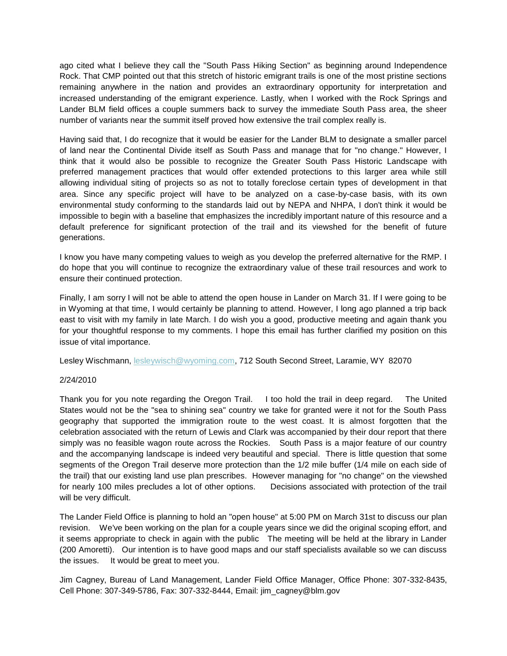ago cited what I believe they call the "South Pass Hiking Section" as beginning around Independence Rock. That CMP pointed out that this stretch of historic emigrant trails is one of the most pristine sections remaining anywhere in the nation and provides an extraordinary opportunity for interpretation and increased understanding of the emigrant experience. Lastly, when I worked with the Rock Springs and Lander BLM field offices a couple summers back to survey the immediate South Pass area, the sheer number of variants near the summit itself proved how extensive the trail complex really is.

Having said that, I do recognize that it would be easier for the Lander BLM to designate a smaller parcel of land near the Continental Divide itself as South Pass and manage that for "no change." However, I think that it would also be possible to recognize the Greater South Pass Historic Landscape with preferred management practices that would offer extended protections to this larger area while still allowing individual siting of projects so as not to totally foreclose certain types of development in that area. Since any specific project will have to be analyzed on a case-by-case basis, with its own environmental study conforming to the standards laid out by NEPA and NHPA, I don't think it would be impossible to begin with a baseline that emphasizes the incredibly important nature of this resource and a default preference for significant protection of the trail and its viewshed for the benefit of future generations.

I know you have many competing values to weigh as you develop the preferred alternative for the RMP. I do hope that you will continue to recognize the extraordinary value of these trail resources and work to ensure their continued protection.

Finally, I am sorry I will not be able to attend the open house in Lander on March 31. If I were going to be in Wyoming at that time, I would certainly be planning to attend. However, I long ago planned a trip back east to visit with my family in late March. I do wish you a good, productive meeting and again thank you for your thoughtful response to my comments. I hope this email has further clarified my position on this issue of vital importance.

Lesley Wischmann, [lesleywisch@wyoming.com,](mailto:lesleywisch@wyoming.com) 712 South Second Street, Laramie, WY 82070

### 2/24/2010

Thank you for you note regarding the Oregon Trail. I too hold the trail in deep regard. The United States would not be the "sea to shining sea" country we take for granted were it not for the South Pass geography that supported the immigration route to the west coast. It is almost forgotten that the celebration associated with the return of Lewis and Clark was accompanied by their dour report that there simply was no feasible wagon route across the Rockies. South Pass is a major feature of our country and the accompanying landscape is indeed very beautiful and special. There is little question that some segments of the Oregon Trail deserve more protection than the 1/2 mile buffer (1/4 mile on each side of the trail) that our existing land use plan prescribes. However managing for "no change" on the viewshed for nearly 100 miles precludes a lot of other options. Decisions associated with protection of the trail will be very difficult.

The Lander Field Office is planning to hold an "open house" at 5:00 PM on March 31st to discuss our plan revision. We've been working on the plan for a couple years since we did the original scoping effort, and it seems appropriate to check in again with the public The meeting will be held at the library in Lander (200 Amoretti). Our intention is to have good maps and our staff specialists available so we can discuss the issues. It would be great to meet you.

Jim Cagney, Bureau of Land Management, Lander Field Office Manager, Office Phone: 307-332-8435, Cell Phone: 307-349-5786, Fax: 307-332-8444, Email: jim\_cagney@blm.gov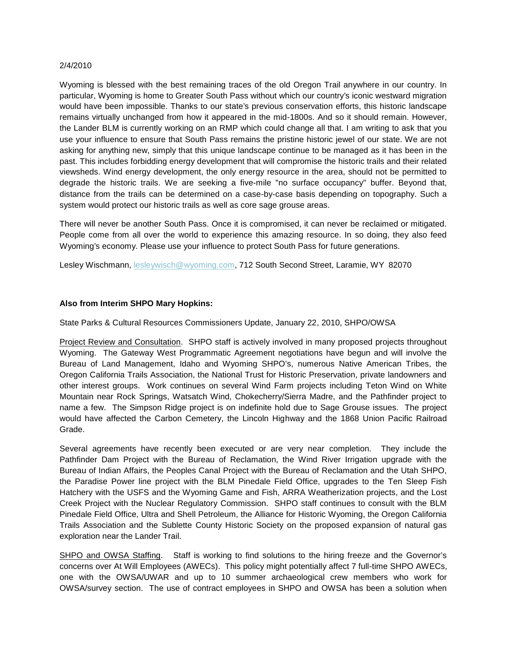#### 2/4/2010

Wyoming is blessed with the best remaining traces of the old Oregon Trail anywhere in our country. In particular, Wyoming is home to Greater South Pass without which our country's iconic westward migration would have been impossible. Thanks to our state's previous conservation efforts, this historic landscape remains virtually unchanged from how it appeared in the mid-1800s. And so it should remain. However, the Lander BLM is currently working on an RMP which could change all that. I am writing to ask that you use your influence to ensure that South Pass remains the pristine historic jewel of our state. We are not asking for anything new, simply that this unique landscape continue to be managed as it has been in the past. This includes forbidding energy development that will compromise the historic trails and their related viewsheds. Wind energy development, the only energy resource in the area, should not be permitted to degrade the historic trails. We are seeking a five-mile "no surface occupancy" buffer. Beyond that, distance from the trails can be determined on a case-by-case basis depending on topography. Such a system would protect our historic trails as well as core sage grouse areas.

There will never be another South Pass. Once it is compromised, it can never be reclaimed or mitigated. People come from all over the world to experience this amazing resource. In so doing, they also feed Wyoming's economy. Please use your influence to protect South Pass for future generations.

Lesley Wischmann, [lesleywisch@wyoming.com,](mailto:lesleywisch@wyoming.com) 712 South Second Street, Laramie, WY 82070

Also from Interim SHPO Mary Hopkins:

State Parks & Cultural Resources Commissioners Update, January 22, 2010, SHPO/OWSA

Project Review and Consultation. SHPO staff is actively involved in many proposed projects throughout Wyoming. The Gateway West Programmatic Agreement negotiations have begun and will involve the Bureau of Land Management, Idaho and Wyoming SHPO€s, numerous Native American Tribes, the Oregon California Trails Association, the National Trust for Historic Preservation, private landowners and other interest groups. Work continues on several Wind Farm projects including Teton Wind on White Mountain near Rock Springs, Watsatch Wind, Chokecherry/Sierra Madre, and the Pathfinder project to name a few. The Simpson Ridge project is on indefinite hold due to Sage Grouse issues. The project would have affected the Carbon Cemetery, the Lincoln Highway and the 1868 Union Pacific Railroad Grade.

Several agreements have recently been executed or are very near completion. They include the Pathfinder Dam Project with the Bureau of Reclamation, the Wind River Irrigation upgrade with the Bureau of Indian Affairs, the Peoples Canal Project with the Bureau of Reclamation and the Utah SHPO, the Paradise Power line project with the BLM Pinedale Field Office, upgrades to the Ten Sleep Fish Hatchery with the USFS and the Wyoming Game and Fish, ARRA Weatherization projects, and the Lost Creek Project with the Nuclear Regulatory Commission. SHPO staff continues to consult with the BLM Pinedale Field Office, Ultra and Shell Petroleum, the Alliance for Historic Wyoming, the Oregon California Trails Association and the Sublette County Historic Society on the proposed expansion of natural gas exploration near the Lander Trail.

SHPO and OWSA Staffing. Staff is working to find solutions to the hiring freeze and the Governor€s concerns over At Will Employees (AWECs). This policy might potentially affect 7 full-time SHPO AWECs, one with the OWSA/UWAR and up to 10 summer archaeological crew members who work for OWSA/survey section. The use of contract employe[es in SHPO and OWS](mailto:jim_cagney@blm.gov)A has been a solution when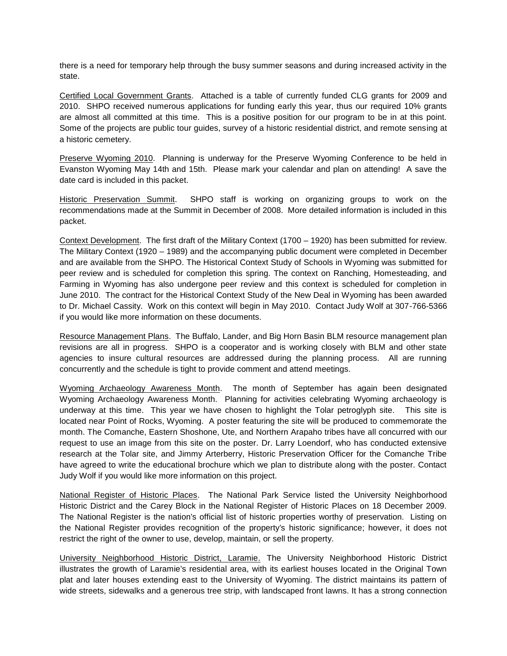there is a need for temporary help through the busy summer seasons and during increased activity in the state.

Certified Local Government Grants. Attached is a table of currently funded CLG grants for 2009 and 2010. SHPO received numerous applications for funding early this year, thus our required 10% grants are almost all committed at this time. This is a positive position for our program to be in at this point. Some of the projects are public tour guides, survey of a historic residential district, and remote sensing at a historic cemetery.

Preserve Wyoming 2010. Planning is underway for the Preserve Wyoming Conference to be held in Evanston Wyoming May 14th and 15th. Please mark your calendar and plan on attending! A save the date card is included in this packet.

Historic Preservation Summit. SHPO staff is working on organizing groups to work on the recommendations made at the Summit in December of 2008. More detailed information is included in this packet.

Context Development. The first draft of the Military Context (1700 – 1920) has been submitted for review. The Military Context (1920 – 1989) and the accompanying public document were completed in December and are available from the SHPO. The Historical Context Study of Schools in Wyoming was submitted for peer review and is scheduled for completion this spring. The context on Ranching, Homesteading, and Farming in Wyoming has also undergone peer review and this context is scheduled for completion in June 2010. The contract for the Historical Context Study of the New Deal in Wyoming has been awarded to Dr. Michael Cassity. Work on this context will begin in May 2010. Contact Judy Wolf at 307-766-5366 if you would like more information on these documents.

Resource Management Plans. The Buffalo, Lander, and Big Horn Basin BLM resource management plan revisions are all in progress. SHPO is a cooperator and is working closely with BLM and other state agencies to insure cultural resources are addressed during the planning process. All are running concurrently and the schedule is tight to provide comment and attend meetings.

Wyoming Archaeology Awareness Month. The month of September has again been designated Wyoming Archaeology Awareness Month. Planning for activities celebrating Wyoming archaeology is underway at this time. This year we have chosen to highlight the Tolar petroglyph site. This site is located near Point of Rocks, Wyoming. A poster featuring the site will be produced to commemorate the month. The Comanche, Eastern Shoshone, Ute, and Northern Arapaho tribes have all concurred with our request to use an image from this site on the poster. Dr. Larry Loendorf, who has conducted extensive research at the Tolar site, and Jimmy Arterberry, Historic Preservation Officer for the Comanche Tribe have agreed to write the educational brochure which we plan to distribute along with the poster. Contact Judy Wolf if you would like more information on this project.

National Register of Historic Places. The National Park Service listed the University Neighborhood Historic District and the Carey Block in the National Register of Historic Places on 18 December 2009. The National Register is the nation's official list of historic properties worthy of preservation. Listing on the National Register provides recognition of the property's historic significance; however, it does not restrict the right of the owner to use, develop, maintain, or sell the property.

University Neighborhood Historic District, Laramie. The University Neighborhood Historic District illustrates the growth of Laramie's residential area, with its earliest houses located in the Original Town plat and later houses extending east to the University of Wyoming. The district maintains its pattern of wide streets, sidewalks and a generous tree strip, with landscaped front lawns. It has a strong connection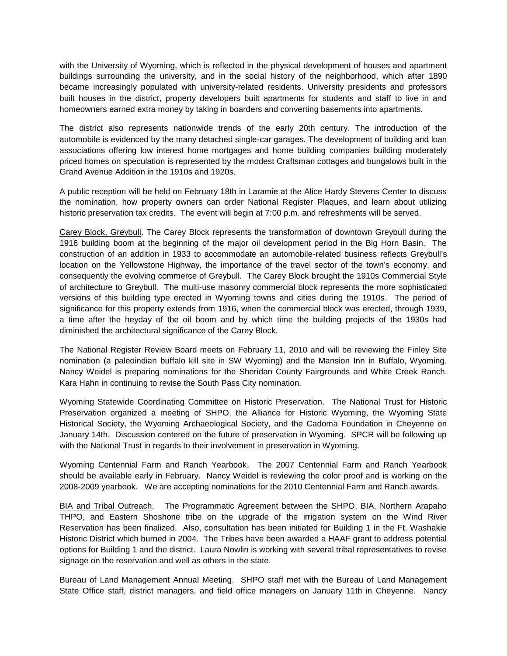with the University of Wyoming, which is reflected in the physical development of houses and apartment buildings surrounding the university, and in the social history of the neighborhood, which after 1890 became increasingly populated with university-related residents. University presidents and professors built houses in the district, property developers built apartments for students and staff to live in and homeowners earned extra money by taking in boarders and converting basements into apartments.

The district also represents nationwide trends of the early 20th century. The introduction of the automobile is evidenced by the many detached single-car garages. The development of building and loan associations offering low interest home mortgages and home building companies building moderately priced homes on speculation is represented by the modest Craftsman cottages and bungalows built in the Grand Avenue Addition in the 1910s and 1920s.

A public reception will be held on February 18th in Laramie at the Alice Hardy Stevens Center to discuss the nomination, how property owners can order National Register Plaques, and learn about utilizing historic preservation tax credits. The event will begin at 7:00 p.m. and refreshments will be served.

Carey Block, Greybull. The Carey Block represents the transformation of downtown Greybull during the 1916 building boom at the beginning of the major oil development period in the Big Horn Basin. The construction of an addition in 1933 to accommodate an automobile-related business reflects Greybull's location on the Yellowstone Highway, the importance of the travel sector of the town's economy, and consequently the evolving commerce of Greybull. The Carey Block brought the 1910s Commercial Style of architecture to Greybull. The multi-use masonry commercial block represents the more sophisticated versions of this building type erected in Wyoming towns and cities during the 1910s. The period of significance for this property extends from 1916, when the commercial block was erected, through 1939, a time after the heyday of the oil boom and by which time the building projects of the 1930s had diminished the architectural significance of the Carey Block.

The National Register Review Board meets on February 11, 2010 and will be reviewing the Finley Site nomination (a paleoindian buffalo kill site in SW Wyoming) and the Mansion Inn in Buffalo, Wyoming. Nancy Weidel is preparing nominations for the Sheridan County Fairgrounds and White Creek Ranch. Kara Hahn in continuing to revise the South Pass City nomination.

Wyoming Statewide Coordinating Committee on Historic Preservation. The National Trust for Historic Preservation organized a meeting of SHPO, the Alliance for Historic Wyoming, the Wyoming State Historical Society, the Wyoming Archaeological Society, and the Cadoma Foundation in Cheyenne on January 14th. Discussion centered on the future of preservation in Wyoming. SPCR will be following up with the National Trust in regards to their involvement in preservation in Wyoming.

Wyoming Centennial Farm and Ranch Yearbook. The 2007 Centennial Farm and Ranch Yearbook should be available early in February. Nancy Weidel is reviewing the color proof and is working on the 2008-2009 yearbook. We are accepting nominations for the 2010 Centennial Farm and Ranch awards.

BIA and Tribal Outreach. The Programmatic Agreement between the SHPO, BIA, Northern Arapaho THPO, and Eastern Shoshone tribe on the upgrade of the irrigation system on the Wind River Reservation has been finalized. Also, consultation has been initiated for Building 1 in the Ft. Washakie Historic District which burned in 2004. The Tribes have been awarded a HAAF grant to address potential options for Building 1 and the district. Laura Nowlin is working with several tribal representatives to revise signage on the reservation and well as others in the state.

Bureau of Land Management Annual Meeting. SHPO staff met with the Bureau of Land Management State Office staff, district managers, and field office managers on January 11th in Cheyenne. Nancy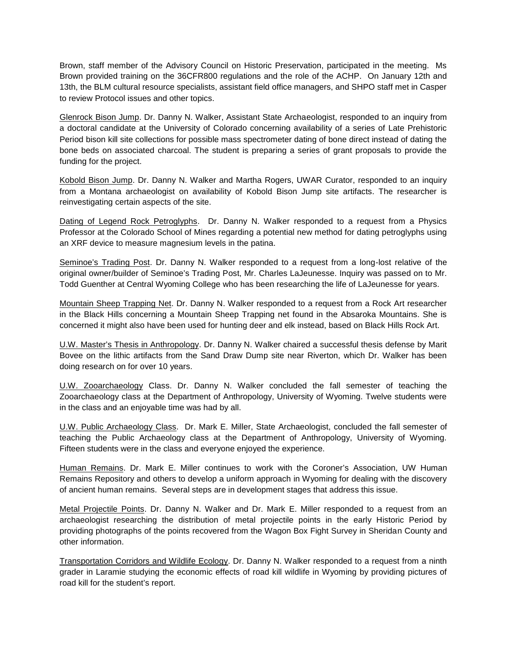Brown, staff member of the Advisory Council on Historic Preservation, participated in the meeting. Ms Brown provided training on the 36CFR800 regulations and the role of the ACHP. On January 12th and 13th, the BLM cultural resource specialists, assistant field office managers, and SHPO staff met in Casper to review Protocol issues and other topics.

Glenrock Bison Jump. Dr. Danny N. Walker, Assistant State Archaeologist, responded to an inquiry from a doctoral candidate at the University of Colorado concerning availability of a series of Late Prehistoric Period bison kill site collections for possible mass spectrometer dating of bone direct instead of dating the bone beds on associated charcoal. The student is preparing a series of grant proposals to provide the funding for the project.

Kobold Bison Jump. Dr. Danny N. Walker and Martha Rogers, UWAR Curator, responded to an inquiry from a Montana archaeologist on availability of Kobold Bison Jump site artifacts. The researcher is reinvestigating certain aspects of the site.

Dating of Legend Rock Petroglyphs. Dr. Danny N. Walker responded to a request from a Physics Professor at the Colorado School of Mines regarding a potential new method for dating petroglyphs using an XRF device to measure magnesium levels in the patina.

Seminoe's Trading Post. Dr. Danny N. Walker responded to a request from a long-lost relative of the original owner/builder of Seminoe's Trading Post, Mr. Charles LaJeunesse. Inquiry was passed on to Mr. Todd Guenther at Central Wyoming College who has been researching the life of LaJeunesse for years.

Mountain Sheep Trapping Net. Dr. Danny N. Walker responded to a request from a Rock Art researcher in the Black Hills concerning a Mountain Sheep Trapping net found in the Absaroka Mountains. She is concerned it might also have been used for hunting deer and elk instead, based on Black Hills Rock Art.

U.W. Master's Thesis in Anthropology. Dr. Danny N. Walker chaired a successful thesis defense by Marit Bovee on the lithic artifacts from the Sand Draw Dump site near Riverton, which Dr. Walker has been doing research on for over 10 years.

U.W. Zooarchaeology Class. Dr. Danny N. Walker concluded the fall semester of teaching the Zooarchaeology class at the Department of Anthropology, University of Wyoming. Twelve students were in the class and an enjoyable time was had by all.

U.W. Public Archaeology Class. Dr. Mark E. Miller, State Archaeologist, concluded the fall semester of teaching the Public Archaeology class at the Department of Anthropology, University of Wyoming. Fifteen students were in the class and everyone enjoyed the experience.

Human Remains. Dr. Mark E. Miller continues to work with the Coroner's Association, UW Human Remains Repository and others to develop a uniform approach in Wyoming for dealing with the discovery of ancient human remains. Several steps are in development stages that address this issue.

Metal Projectile Points. Dr. Danny N. Walker and Dr. Mark E. Miller responded to a request from an archaeologist researching the distribution of metal projectile points in the early Historic Period by providing photographs of the points recovered from the Wagon Box Fight Survey in Sheridan County and other information.

Transportation Corridors and Wildlife Ecology. Dr. Danny N. Walker responded to a request from a ninth grader in Laramie studying the economic effects of road kill wildlife in Wyoming by providing pictures of road kill for the student's report.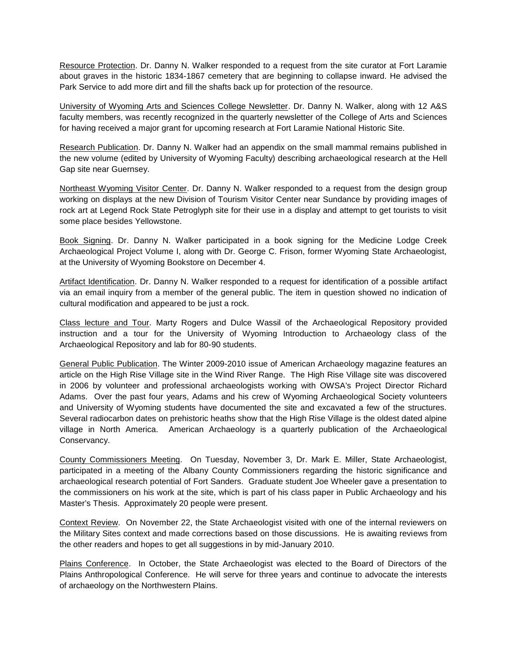Resource Protection. Dr. Danny N. Walker responded to a request from the site curator at Fort Laramie about graves in the historic 1834-1867 cemetery that are beginning to collapse inward. He advised the Park Service to add more dirt and fill the shafts back up for protection of the resource.

University of Wyoming Arts and Sciences College Newsletter. Dr. Danny N. Walker, along with 12 A&S faculty members, was recently recognized in the quarterly newsletter of the College of Arts and Sciences for having received a major grant for upcoming research at Fort Laramie National Historic Site.

Research Publication. Dr. Danny N. Walker had an appendix on the small mammal remains published in the new volume (edited by University of Wyoming Faculty) describing archaeological research at the Hell Gap site near Guernsey.

Northeast Wyoming Visitor Center. Dr. Danny N. Walker responded to a request from the design group working on displays at the new Division of Tourism Visitor Center near Sundance by providing images of rock art at Legend Rock State Petroglyph site for their use in a display and attempt to get tourists to visit some place besides Yellowstone.

Book Signing. Dr. Danny N. Walker participated in a book signing for the Medicine Lodge Creek Archaeological Project Volume I, along with Dr. George C. Frison, former Wyoming State Archaeologist, at the University of Wyoming Bookstore on December 4.

Artifact Identification. Dr. Danny N. Walker responded to a request for identification of a possible artifact via an email inquiry from a member of the general public. The item in question showed no indication of cultural modification and appeared to be just a rock.

Class lecture and Tour. Marty Rogers and Dulce Wassil of the Archaeological Repository provided instruction and a tour for the University of Wyoming Introduction to Archaeology class of the Archaeological Repository and lab for 80-90 students.

General Public Publication. The Winter 2009-2010 issue of American Archaeology magazine features an article on the High Rise Village site in the Wind River Range. The High Rise Village site was discovered in 2006 by volunteer and professional archaeologists working with OWSA's Project Director Richard Adams. Over the past four years, Adams and his crew of Wyoming Archaeological Society volunteers and University of Wyoming students have documented the site and excavated a few of the structures. Several radiocarbon dates on prehistoric heaths show that the High Rise Village is the oldest dated alpine village in North America. American Archaeology is a quarterly publication of the Archaeological Conservancy.

County Commissioners Meeting. On Tuesday, November 3, Dr. Mark E. Miller, State Archaeologist, participated in a meeting of the Albany County Commissioners regarding the historic significance and archaeological research potential of Fort Sanders. Graduate student Joe Wheeler gave a presentation to the commissioners on his work at the site, which is part of his class paper in Public Archaeology and his Master's Thesis. Approximately 20 people were present.

Context Review. On November 22, the State Archaeologist visited with one of the internal reviewers on the Military Sites context and made corrections based on those discussions. He is awaiting reviews from the other readers and hopes to get all suggestions in by mid-January 2010.

Plains Conference. In October, the State Archaeologist was elected to the Board of Directors of the Plains Anthropological Conference. He will serve for three years and continue to advocate the interests of archaeology on the Northwestern Plains.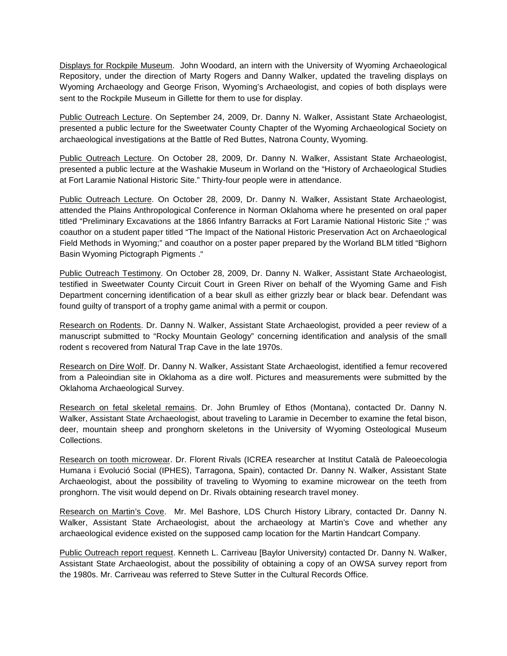Displays for Rockpile Museum. John Woodard, an intern with the University of Wyoming Archaeological Repository, under the direction of Marty Rogers and Danny Walker, updated the traveling displays on Wyoming Archaeology and George Frison, Wyoming's Archaeologist, and copies of both displays were sent to the Rockpile Museum in Gillette for them to use for display.

Public Outreach Lecture. On September 24, 2009, Dr. Danny N. Walker, Assistant State Archaeologist, presented a public lecture for the Sweetwater County Chapter of the Wyoming Archaeological Society on archaeological investigations at the Battle of Red Buttes, Natrona County, Wyoming.

Public Outreach Lecture. On October 28, 2009, Dr. Danny N. Walker, Assistant State Archaeologist, presented a public lecture at the Washakie Museum in Worland on the "History of Archaeological Studies at Fort Laramie National Historic Site." Thirty-four people were in attendance.

Public Outreach Lecture. On October 28, 2009, Dr. Danny N. Walker, Assistant State Archaeologist, attended the Plains Anthropological Conference in Norman Oklahoma where he presented on oral paper titled "Preliminary Excavations at the 1866 Infantry Barracks at Fort Laramie National Historic Site ;" was coauthor on a student paper titled "The Impact of the National Historic Preservation Act on Archaeological Field Methods in Wyoming;" and coauthor on a poster paper prepared by the Worland BLM titled "Bighorn Basin Wyoming Pictograph Pigments ."

Public Outreach Testimony. On October 28, 2009, Dr. Danny N. Walker, Assistant State Archaeologist, testified in Sweetwater County Circuit Court in Green River on behalf of the Wyoming Game and Fish Department concerning identification of a bear skull as either grizzly bear or black bear. Defendant was found guilty of transport of a trophy game animal with a permit or coupon.

Research on Rodents. Dr. Danny N. Walker, Assistant State Archaeologist, provided a peer review of a manuscript submitted to "Rocky Mountain Geology" concerning identification and analysis of the small rodent s recovered from Natural Trap Cave in the late 1970s.

Research on Dire Wolf. Dr. Danny N. Walker, Assistant State Archaeologist, identified a femur recovered from a Paleoindian site in Oklahoma as a dire wolf. Pictures and measurements were submitted by the Oklahoma Archaeological Survey.

Research on fetal skeletal remains. Dr. John Brumley of Ethos (Montana), contacted Dr. Danny N. Walker, Assistant State Archaeologist, about traveling to Laramie in December to examine the fetal bison, deer, mountain sheep and pronghorn skeletons in the University of Wyoming Osteological Museum Collections.

Research on tooth microwear. Dr. Florent Rivals (ICREA researcher at Institut Català de Paleoecologia Humana i Evolució Social (IPHES), Tarragona, Spain), contacted Dr. Danny N. Walker, Assistant State Archaeologist, about the possibility of traveling to Wyoming to examine microwear on the teeth from pronghorn. The visit would depend on Dr. Rivals obtaining research travel money.

Research on Martin's Cove. Mr. Mel Bashore, LDS Church History Library, contacted Dr. Danny N. Walker, Assistant State Archaeologist, about the archaeology at Martin's Cove and whether any archaeological evidence existed on the supposed camp location for the Martin Handcart Company.

Public Outreach report request. Kenneth L. Carriveau [Baylor University) contacted Dr. Danny N. Walker, Assistant State Archaeologist, about the possibility of obtaining a copy of an OWSA survey report from the 1980s. Mr. Carriveau was referred to Steve Sutter in the Cultural Records Office.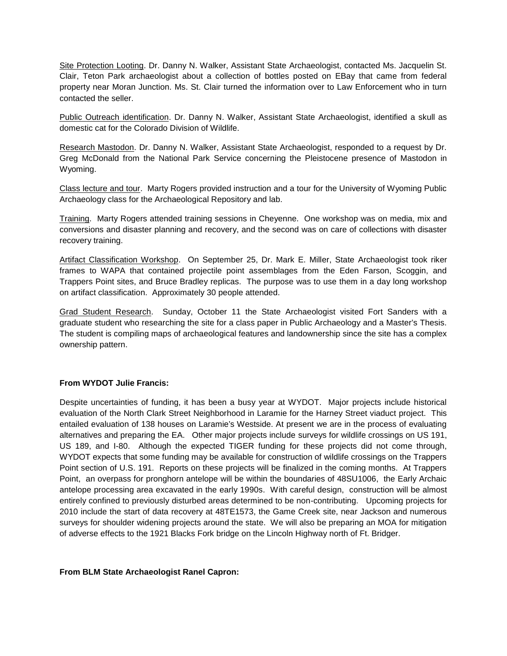Site Protection Looting. Dr. Danny N. Walker, Assistant State Archaeologist, contacted Ms. Jacquelin St. Clair, Teton Park archaeologist about a collection of bottles posted on EBay that came from federal property near Moran Junction. Ms. St. Clair turned the information over to Law Enforcement who in turn contacted the seller.

Public Outreach identification. Dr. Danny N. Walker, Assistant State Archaeologist, identified a skull as domestic cat for the Colorado Division of Wildlife.

Research Mastodon. Dr. Danny N. Walker, Assistant State Archaeologist, responded to a request by Dr. Greg McDonald from the National Park Service concerning the Pleistocene presence of Mastodon in Wyoming.

Class lecture and tour. Marty Rogers provided instruction and a tour for the University of Wyoming Public Archaeology class for the Archaeological Repository and lab.

Training. Marty Rogers attended training sessions in Cheyenne. One workshop was on media, mix and conversions and disaster planning and recovery, and the second was on care of collections with disaster recovery training.

Artifact Classification Workshop. On September 25, Dr. Mark E. Miller, State Archaeologist took riker frames to WAPA that contained projectile point assemblages from the Eden Farson, Scoggin, and Trappers Point sites, and Bruce Bradley replicas. The purpose was to use them in a day long workshop on artifact classification. Approximately 30 people attended.

Grad Student Research. Sunday, October 11 the State Archaeologist visited Fort Sanders with a graduate student who researching the site for a class paper in Public Archaeology and a Master's Thesis. The student is compiling maps of archaeological features and landownership since the site has a complex ownership pattern.

### **From WYDOT Julie Francis:**

Despite uncertainties of funding, it has been a busy year at WYDOT. Major projects include historical evaluation of the North Clark Street Neighborhood in Laramie for the Harney Street viaduct project. This entailed evaluation of 138 houses on Laramie's Westside. At present we are in the process of evaluating alternatives and preparing the EA. Other major projects include surveys for wildlife crossings on US 191, US 189, and I-80. Although the expected TIGER funding for these projects did not come through, WYDOT expects that some funding may be available for construction of wildlife crossings on the Trappers Point section of U.S. 191. Reports on these projects will be finalized in the coming months. At Trappers Point, an overpass for pronghorn antelope will be within the boundaries of 48SU1006, the Early Archaic antelope processing area excavated in the early 1990s. With careful design, construction will be almost entirely confined to previously disturbed areas determined to be non-contributing. Upcoming projects for 2010 include the start of data recovery at 48TE1573, the Game Creek site, near Jackson and numerous surveys for shoulder widening projects around the state. We will also be preparing an MOA for mitigation of adverse effects to the 1921 Blacks Fork bridge on the Lincoln Highway north of Ft. Bridger.

### **From BLM State Archaeologist Ranel Capron:**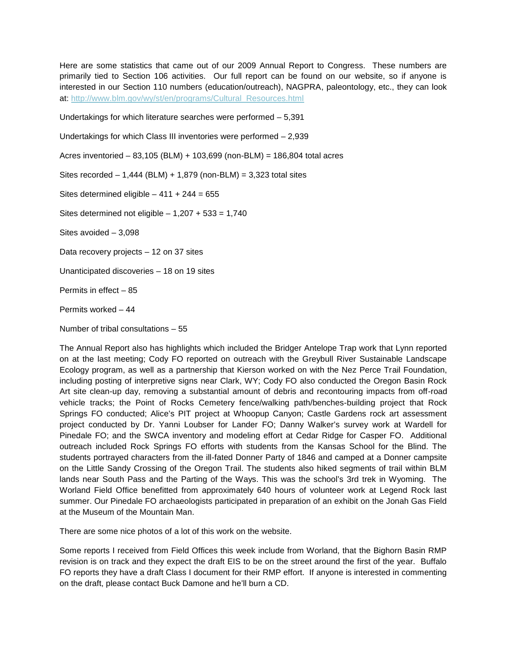Here are some statistics that came out of our 2009 Annual Report to Congress. These numbers are primarily tied to Section 106 activities. Our full report can be found on our website, so if anyone is interested in our Section 110 numbers (education/outreach), NAGPRA, paleontology, etc., they can look at: [http://www.blm.gov/wy/st/en/programs/Cultural\\_Resources.html](http://www.blm.gov/wy/st/en/programs/Cultural_Resources.html)

Undertakings for which literature searches were performed • 5,391

Undertakings for which Class III inventories were performed • 2,939

Acres inventoried • 83,105 (BLM) + 103,699 (non-BLM) = 186,804 total acres

Sites recorded •  $1,444$  (BLM) +  $1,879$  (non-BLM) =  $3,323$  total sites

Sites determined eligible  $\cdot$  411 + 244 = 655

Sites determined not eligible  $\cdot$  1,207 + 533 = 1,740

Sites avoided • 3,098

Data recovery projects • 12 on 37 sites

Unanticipated discoveries • 18 on 19 sites

Permits in effect • 85

Permits worked • 44

Number of tribal consultations • 55

The Annual Report also has highlights which included the Bridger Antelope Trap work that Lynn reported on at the last meeting; Cody FO reported on outreach with the Greybull River Sustainable Landscape Ecology program, as well as a partnership that Kierson worked on with the Nez Perce Trail Foundation, including posting of interpretive signs near Clark, WY; Cody FO also conducted the Oregon Basin Rock Art site clean-up day, removing a substantial amount of debris and recontouring impacts from off-road vehicle tracks; the Point of Rocks Cemetery fence/walking path/benches-building project that Rock Springs FO conducted; Alice€s PIT project at Whoopup Canyon; Castle Gardens rock art assessment project conducted by Dr. Yanni Loubser for Lander FO; Danny Walker€s survey work at Wardell for Pinedale FO; and the SWCA inventory and modeling effort at Cedar Ridge for Casper FO. Additional outreach included Rock Springs FO efforts with students from the Kansas School for the Blind. The students portrayed characters from the ill-fated Donner Party of 1846 and camped at a Donner campsite on the Little Sandy Crossing of the Oregon Trail. The students also hiked segments of trail within BLM lands near South Pass and the Parting of the Ways. This was the school€s 3rd trek in Wyoming. The Worland Field Office benefitted from approximately 640 hours of volunteer work at Legend Rock last summer. Our Pinedale FO archaeologists participated in preparation of an exhibit on the Jonah Gas Field at the Museum of the Mountain Man.

There are some nice photos of a lot of this work on the website.

Some reports I received from Field Offices this week include from Worland, that the Bighorn Basin RMP revision is on track and they expect the draft EIS to be on the street around the first of the year. Buffalo FO reports they have a draft Class I document for their RMP effort. If anyone is interested in commenting on the draft, please contact Buck Damone and he€ll burn a CD.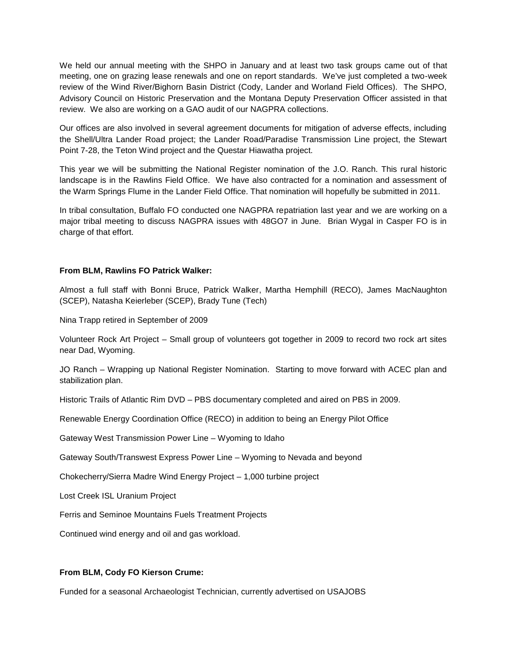We held our annual meeting with the SHPO in January and at least two task groups came out of that meeting, one on grazing lease renewals and one on report standards. We've just completed a two-week review of the Wind River/Bighorn Basin District (Cody, Lander and Worland Field Offices). The SHPO, Advisory Council on Historic Preservation and the Montana Deputy Preservation Officer assisted in that review. We also are working on a GAO audit of our NAGPRA collections.

Our offices are also involved in several agreement documents for mitigation of adverse effects, including the Shell/Ultra Lander Road project; the Lander Road/Paradise Transmission Line project, the Stewart Point 7-28, the Teton Wind project and the Questar Hiawatha project.

This year we will be submitting the National Register nomination of the J.O. Ranch. This rural historic landscape is in the Rawlins Field Office. We have also contracted for a nomination and assessment of the Warm Springs Flume in the Lander Field Office. That nomination will hopefully be submitted in 2011.

In tribal consultation, Buffalo FO conducted one NAGPRA repatriation last year and we are working on a major tribal meeting to discuss NAGPRA issues with 48GO7 in June. Brian Wygal in Casper FO is in charge of that effort.

# **From BLM, Rawlins FO Patrick Walker:**

Almost a full staff with Bonni Bruce, Patrick Walker, Martha Hemphill (RECO), James MacNaughton (SCEP), Natasha Keierleber (SCEP), Brady Tune (Tech)

Nina Trapp retired in September of 2009

Volunteer Rock Art Project – Small group of volunteers got together in 2009 to record two rock art sites near Dad, Wyoming.

JO Ranch – Wrapping up National Register Nomination. Starting to move forward with ACEC plan and stabilization plan.

Historic Trails of Atlantic Rim DVD – PBS documentary completed and aired on PBS in 2009.

Renewable Energy Coordination Office (RECO) in addition to being an Energy Pilot Office

Gateway West Transmission Power Line – Wyoming to Idaho

Gateway South/Transwest Express Power Line – Wyoming to Nevada and beyond

Chokecherry/Sierra Madre Wind Energy Project – 1,000 turbine project

Lost Creek ISL Uranium Project

Ferris and Seminoe Mountains Fuels Treatment Projects

Continued wind energy and oil and gas workload.

### **From BLM, Cody FO Kierson Crume:**

Funded for a seasonal Archaeologist Technician, currently advertised on USAJOBS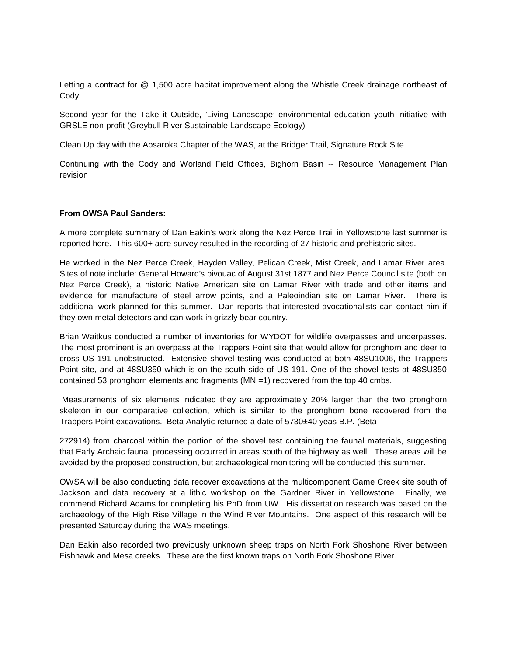Letting a contract for @ 1,500 acre habitat improvement along the Whistle Creek drainage northeast of **Cody** 

Second year for the Take it Outside, 'Living Landscape' environmental education youth initiative with GRSLE non-profit (Greybull River Sustainable Landscape Ecology)

Clean Up day with the Absaroka Chapter of the WAS, at the Bridger Trail, Signature Rock Site

Continuing with the Cody and Worland Field Offices, Bighorn Basin -- Resource Management Plan revision

### **From OWSA Paul Sanders:**

A more complete summary of Dan Eakin's work along the Nez Perce Trail in Yellowstone last summer is reported here. This 600+ acre survey resulted in the recording of 27 historic and prehistoric sites.

He worked in the Nez Perce Creek, Hayden Valley, Pelican Creek, Mist Creek, and Lamar River area. Sites of note include: General Howard's bivouac of August 31st 1877 and Nez Perce Council site (both on Nez Perce Creek), a historic Native American site on Lamar River with trade and other items and evidence for manufacture of steel arrow points, and a Paleoindian site on Lamar River. There is additional work planned for this summer. Dan reports that interested avocationalists can contact him if they own metal detectors and can work in grizzly bear country.

Brian Waitkus conducted a number of inventories for WYDOT for wildlife overpasses and underpasses. The most prominent is an overpass at the Trappers Point site that would allow for pronghorn and deer to cross US 191 unobstructed. Extensive shovel testing was conducted at both 48SU1006, the Trappers Point site, and at 48SU350 which is on the south side of US 191. One of the shovel tests at 48SU350 contained 53 pronghorn elements and fragments (MNI=1) recovered from the top 40 cmbs.

Measurements of six elements indicated they are approximately 20% larger than the two pronghorn skeleton in our comparative collection, which is similar to the pronghorn bone recovered from the Trappers Point excavations. Beta Analytic returned a date of 5730±40 yeas B.P. (Beta

272914) from charcoal within the portion of the shovel test containing the faunal materials, suggesting that Early Archaic faunal processing occurred in areas south of the highway as well. These areas will be avoided by the proposed construction, but archaeological monitoring will be conducted this summer.

OWSA will be also conducting data recover excavations at the multicomponent Game Creek site south of Jackson and data recovery at a lithic workshop on the Gardner River in Yellowstone. Finally, we commend Richard Adams for completing his PhD from UW. His dissertation research was based on the archaeology of the High Rise Village in the Wind River Mountains. One aspect of this research will be presented Saturday during the WAS meetings.

Dan Eakin also recorded two previously unknown sheep traps on North Fork Shoshone River between Fishhawk and Mesa creeks. These are the first known traps on North Fork Shoshone River.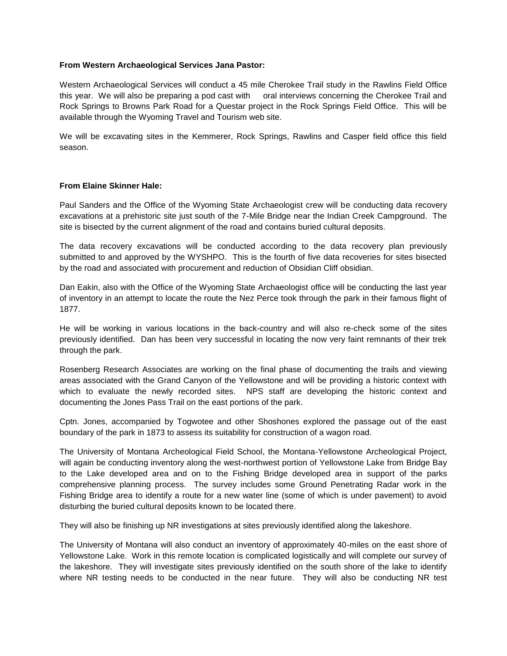# **From Western Archaeological Services Jana Pastor:**

Western Archaeological Services will conduct a 45 mile Cherokee Trail study in the Rawlins Field Office this year. We will also be preparing a pod cast with oral interviews concerning the Cherokee Trail and Rock Springs to Browns Park Road for a Questar project in the Rock Springs Field Office. This will be available through the Wyoming Travel and Tourism web site.

We will be excavating sites in the Kemmerer, Rock Springs, Rawlins and Casper field office this field season.

### **From Elaine Skinner Hale:**

Paul Sanders and the Office of the Wyoming State Archaeologist crew will be conducting data recovery excavations at a prehistoric site just south of the 7-Mile Bridge near the Indian Creek Campground. The site is bisected by the current alignment of the road and contains buried cultural deposits.

The data recovery excavations will be conducted according to the data recovery plan previously submitted to and approved by the WYSHPO. This is the fourth of five data recoveries for sites bisected by the road and associated with procurement and reduction of Obsidian Cliff obsidian.

Dan Eakin, also with the Office of the Wyoming State Archaeologist office will be conducting the last year of inventory in an attempt to locate the route the Nez Perce took through the park in their famous flight of 1877.

He will be working in various locations in the back-country and will also re-check some of the sites previously identified. Dan has been very successful in locating the now very faint remnants of their trek through the park.

Rosenberg Research Associates are working on the final phase of documenting the trails and viewing areas associated with the Grand Canyon of the Yellowstone and will be providing a historic context with which to evaluate the newly recorded sites. NPS staff are developing the historic context and documenting the Jones Pass Trail on the east portions of the park.

Cptn. Jones, accompanied by Togwotee and other Shoshones explored the passage out of the east boundary of the park in 1873 to assess its suitability for construction of a wagon road.

The University of Montana Archeological Field School, the Montana-Yellowstone Archeological Project, will again be conducting inventory along the west-northwest portion of Yellowstone Lake from Bridge Bay to the Lake developed area and on to the Fishing Bridge developed area in support of the parks comprehensive planning process. The survey includes some Ground Penetrating Radar work in the Fishing Bridge area to identify a route for a new water line (some of which is under pavement) to avoid disturbing the buried cultural deposits known to be located there.

They will also be finishing up NR investigations at sites previously identified along the lakeshore.

The University of Montana will also conduct an inventory of approximately 40-miles on the east shore of Yellowstone Lake. Work in this remote location is complicated logistically and will complete our survey of the lakeshore. They will investigate sites previously identified on the south shore of the lake to identify where NR testing needs to be conducted in the near future. They will also be conducting NR test